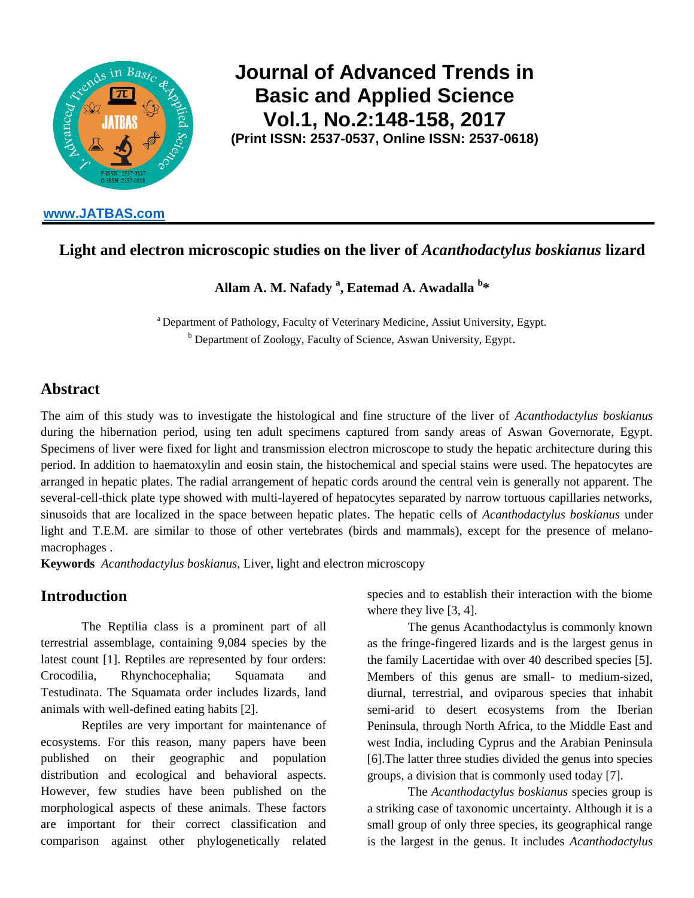

**[www.JATBAS.com](http://www.jatbas.com/)**

# **Journal of Advanced Trends in Basic and Applied Science Vol.1, No.2:148-158, 2017 (Print ISSN: 2537-0537, Online ISSN: 2537-0618)**

# **Light and electron microscopic studies on the liver of** *Acanthodactylus boskianus* **lizard**

**Allam A. M. Nafady <sup>a</sup> , Eatemad A. Awadalla <sup>b</sup> \***

<sup>a</sup> Department of Pathology, Faculty of Veterinary Medicine, Assiut University, Egypt. <sup>b</sup> Department of Zoology, Faculty of Science, Aswan University, Egypt.

# **Abstract**

The aim of this study was to investigate the histological and fine structure of the liver of *Acanthodactylus boskianus* during the hibernation period, using ten adult specimens captured from sandy areas of Aswan Governorate, Egypt. Specimens of liver were fixed for light and transmission electron microscope to study the hepatic architecture during this period. In addition to haematoxylin and eosin stain, the histochemical and special stains were used. The hepatocytes are arranged in hepatic plates. The radial arrangement of hepatic cords around the central vein is generally not apparent. The several-cell-thick plate type showed with multi-layered of hepatocytes separated by narrow tortuous capillaries networks, sinusoids that are localized in the space between hepatic plates. The hepatic cells of *Acanthodactylus boskianus* under light and T.E.M. are similar to those of other vertebrates (birds and mammals), except for the presence of melanomacrophages .

**Keywords** *Acanthodactylus boskianus*, Liver, light and electron microscopy

# **Introduction**

The Reptilia class is a prominent part of all terrestrial assemblage, containing 9,084 species by the latest count [1]. Reptiles are represented by four orders: Crocodilia, Rhynchocephalia; Squamata and Testudinata. The Squamata order includes lizards, land animals with well-defined eating habits [2].

Reptiles are very important for maintenance of ecosystems. For this reason, many papers have been published on their geographic and population distribution and ecological and behavioral aspects. However, few studies have been published on the morphological aspects of these animals. These factors are important for their correct classification and comparison against other phylogenetically related

species and to establish their interaction with the biome where they live [3, 4].

The genus Acanthodactylus is commonly known as the fringe-fingered lizards and is the largest genus in the family Lacertidae with over 40 described species [5]. Members of this genus are small- to medium-sized, diurnal, terrestrial, and oviparous species that inhabit semi-arid to desert ecosystems from the Iberian Peninsula, through North Africa, to the Middle East and west India, including Cyprus and the Arabian Peninsula [6].The latter three studies divided the genus into species groups, a division that is commonly used today [7].

The *Acanthodactylus boskianus* species group is a striking case of taxonomic uncertainty. Although it is a small group of only three species, its geographical range is the largest in the genus. It includes *Acanthodactylus*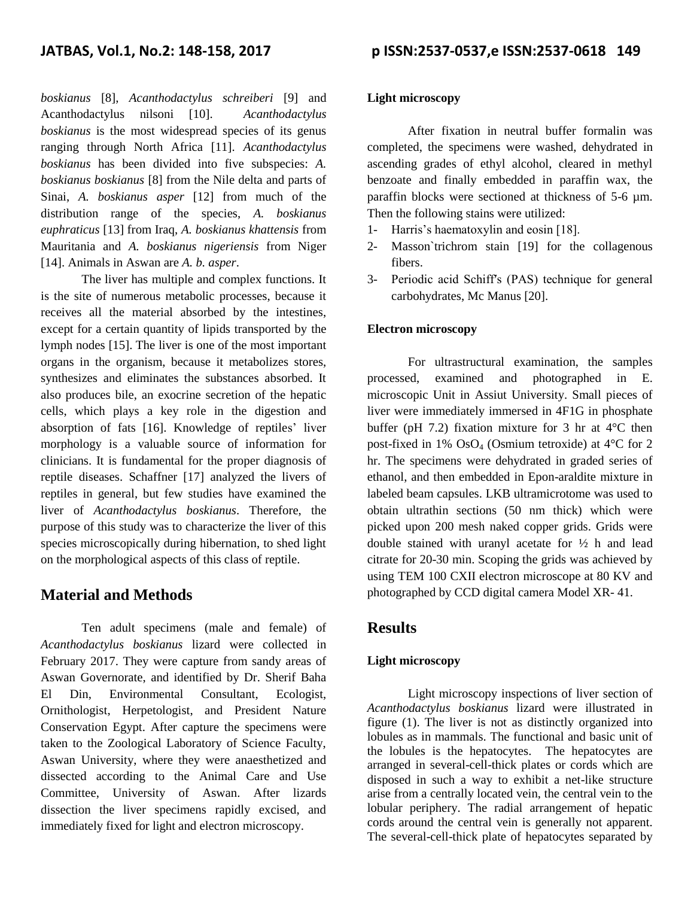*boskianus* [8], *Acanthodactylus schreiberi* [9] and Acanthodactylus nilsoni [10]. *Acanthodactylus boskianus* is the most widespread species of its genus ranging through North Africa [11]. *Acanthodactylus boskianus* has been divided into five subspecies: *A. boskianus boskianus* [8] from the Nile delta and parts of Sinai, *A. boskianus asper* [12] from much of the distribution range of the species, *A. boskianus euphraticus* [13] from Iraq, *A. boskianus khattensis* from Mauritania and *A. boskianus nigeriensis* from Niger [14]. Animals in Aswan are *A. b. asper*.

The liver has multiple and complex functions. It is the site of numerous metabolic processes, because it receives all the material absorbed by the intestines, except for a certain quantity of lipids transported by the lymph nodes [15]. The liver is one of the most important organs in the organism, because it metabolizes stores, synthesizes and eliminates the substances absorbed. It also produces bile, an exocrine secretion of the hepatic cells, which plays a key role in the digestion and absorption of fats [16]. Knowledge of reptiles' liver morphology is a valuable source of information for clinicians. It is fundamental for the proper diagnosis of reptile diseases. Schaffner [17] analyzed the livers of reptiles in general, but few studies have examined the liver of *Acanthodactylus boskianus*. Therefore, the purpose of this study was to characterize the liver of this species microscopically during hibernation, to shed light on the morphological aspects of this class of reptile.

### **Material and Methods**

Ten adult specimens (male and female) of *Acanthodactylus boskianus* lizard were collected in February 2017. They were capture from sandy areas of Aswan Governorate, and identified by Dr. Sherif Baha El Din, Environmental Consultant, Ecologist, Ornithologist, Herpetologist, and President Nature Conservation Egypt. After capture the specimens were taken to the Zoological Laboratory of Science Faculty, Aswan University, where they were anaesthetized and dissected according to the Animal Care and Use Committee, University of Aswan. After lizards dissection the liver specimens rapidly excised, and immediately fixed for light and electron microscopy.

#### **Light microscopy**

After fixation in neutral buffer formalin was completed, the specimens were washed, dehydrated in ascending grades of ethyl alcohol, cleared in methyl benzoate and finally embedded in paraffin wax, the paraffin blocks were sectioned at thickness of 5-6 µm. Then the following stains were utilized:

- 1- Harris's haematoxylin and eosin [18].
- 2- Masson`trichrom stain [19] for the collagenous fibers.
- 3- Periodic acid Schiffʹs (PAS) technique for general carbohydrates, Mc Manus [20].

#### **Electron microscopy**

For ultrastructural examination, the samples processed, examined and photographed in E. microscopic Unit in Assiut University. Small pieces of liver were immediately immersed in 4F1G in phosphate buffer (pH 7.2) fixation mixture for 3 hr at  $4^{\circ}$ C then post-fixed in 1%  $OsO<sub>4</sub>$  (Osmium tetroxide) at 4°C for 2 hr. The specimens were dehydrated in graded series of ethanol, and then embedded in Epon-araldite mixture in labeled beam capsules. LKB ultramicrotome was used to obtain ultrathin sections (50 nm thick) which were picked upon 200 mesh naked copper grids. Grids were double stained with uranyl acetate for ½ h and lead citrate for 20-30 min. Scoping the grids was achieved by using TEM 100 CXII electron microscope at 80 KV and photographed by CCD digital camera Model XR- 41.

### **Results**

#### **Light microscopy**

Light microscopy inspections of liver section of *Acanthodactylus boskianus* lizard were illustrated in figure (1). The liver is not as distinctly organized into lobules as in mammals. The functional and basic unit of the lobules is the hepatocytes. The hepatocytes are arranged in several-cell-thick plates or cords which are disposed in such a way to exhibit a net-like structure arise from a centrally located vein, the central vein to the lobular periphery. The radial arrangement of hepatic cords around the central vein is generally not apparent. The several-cell-thick plate of hepatocytes separated by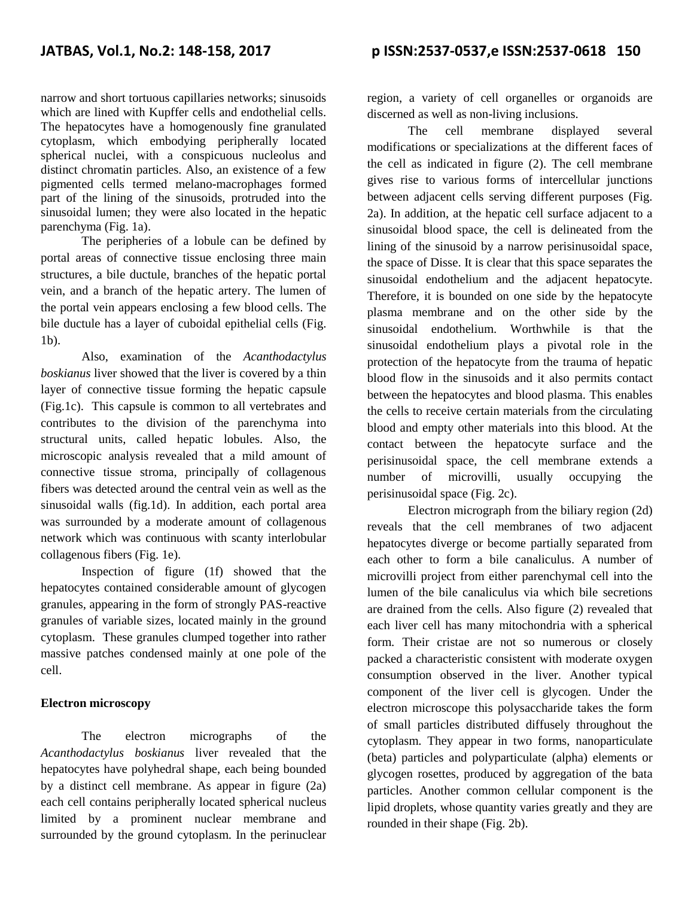narrow and short tortuous capillaries networks; sinusoids which are lined with Kupffer cells and endothelial cells. The hepatocytes have a homogenously fine granulated cytoplasm, which embodying peripherally located spherical nuclei, with a conspicuous nucleolus and distinct chromatin particles. Also, an existence of a few pigmented cells termed melano-macrophages formed part of the lining of the sinusoids, protruded into the sinusoidal lumen; they were also located in the hepatic parenchyma (Fig. 1a).

The peripheries of a lobule can be defined by portal areas of connective tissue enclosing three main structures, a bile ductule, branches of the hepatic portal vein, and a branch of the hepatic artery. The lumen of the portal vein appears enclosing a few blood cells. The bile ductule has a layer of cuboidal epithelial cells (Fig. 1b).

Also, examination of the *Acanthodactylus boskianus* liver showed that the liver is covered by a thin layer of connective tissue forming the hepatic capsule (Fig.1c). This capsule is common to all vertebrates and contributes to the division of the parenchyma into structural units, called hepatic lobules. Also, the microscopic analysis revealed that a mild amount of connective tissue stroma, principally of collagenous fibers was detected around the central vein as well as the sinusoidal walls (fig.1d). In addition, each portal area was surrounded by a moderate amount of collagenous network which was continuous with scanty interlobular collagenous fibers (Fig. 1e).

Inspection of figure (1f) showed that the hepatocytes contained considerable amount of glycogen granules, appearing in the form of strongly PAS-reactive granules of variable sizes, located mainly in the ground cytoplasm. These granules clumped together into rather massive patches condensed mainly at one pole of the cell.

#### **Electron microscopy**

The electron micrographs of the *Acanthodactylus boskianus* liver revealed that the hepatocytes have polyhedral shape, each being bounded by a distinct cell membrane. As appear in figure (2a) each cell contains peripherally located spherical nucleus limited by a prominent nuclear membrane and surrounded by the ground cytoplasm. In the perinuclear

region, a variety of cell organelles or organoids are discerned as well as non-living inclusions.

The cell membrane displayed several modifications or specializations at the different faces of the cell as indicated in figure (2). The cell membrane gives rise to various forms of intercellular junctions between adjacent cells serving different purposes (Fig. 2a). In addition, at the hepatic cell surface adjacent to a sinusoidal blood space, the cell is delineated from the lining of the sinusoid by a narrow perisinusoidal space, the space of Disse. It is clear that this space separates the sinusoidal endothelium and the adjacent hepatocyte. Therefore, it is bounded on one side by the hepatocyte plasma membrane and on the other side by the sinusoidal endothelium. Worthwhile is that the sinusoidal endothelium plays a pivotal role in the protection of the hepatocyte from the trauma of hepatic blood flow in the sinusoids and it also permits contact between the hepatocytes and blood plasma. This enables the cells to receive certain materials from the circulating blood and empty other materials into this blood. At the contact between the hepatocyte surface and the perisinusoidal space, the cell membrane extends a number of microvilli, usually occupying the perisinusoidal space (Fig. 2c).

Electron micrograph from the biliary region (2d) reveals that the cell membranes of two adjacent hepatocytes diverge or become partially separated from each other to form a bile canaliculus. A number of microvilli project from either parenchymal cell into the lumen of the bile canaliculus via which bile secretions are drained from the cells. Also figure (2) revealed that each liver cell has many mitochondria with a spherical form. Their cristae are not so numerous or closely packed a characteristic consistent with moderate oxygen consumption observed in the liver. Another typical component of the liver cell is glycogen. Under the electron microscope this polysaccharide takes the form of small particles distributed diffusely throughout the cytoplasm. They appear in two forms, nanoparticulate (beta) particles and polyparticulate (alpha) elements or glycogen rosettes, produced by aggregation of the bata particles. Another common cellular component is the lipid droplets, whose quantity varies greatly and they are rounded in their shape (Fig. 2b).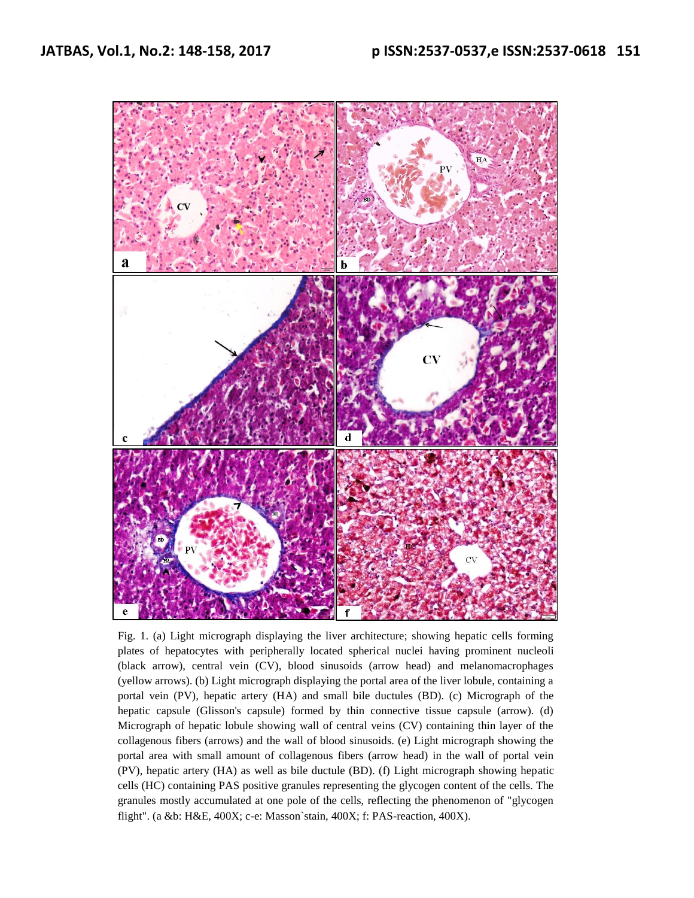

Fig. 1. (a) Light micrograph displaying the liver architecture; showing hepatic cells forming plates of hepatocytes with peripherally located spherical nuclei having prominent nucleoli (black arrow), central vein (CV), blood sinusoids (arrow head) and melanomacrophages (yellow arrows). (b) Light micrograph displaying the portal area of the liver lobule, containing a portal vein (PV), hepatic artery (HA) and small bile ductules (BD). (c) Micrograph of the hepatic capsule (Glisson's capsule) formed by thin connective tissue capsule (arrow). (d) Micrograph of hepatic lobule showing wall of central veins (CV) containing thin layer of the collagenous fibers (arrows) and the wall of blood sinusoids. (e) Light micrograph showing the portal area with small amount of collagenous fibers (arrow head) in the wall of portal vein (PV), hepatic artery (HA) as well as bile ductule (BD). (f) Light micrograph showing hepatic cells (HC) containing PAS positive granules representing the glycogen content of the cells. The granules mostly accumulated at one pole of the cells, reflecting the phenomenon of "glycogen flight". (a &b: H&E, 400X; c-e: Masson`stain, 400X; f: PAS-reaction, 400X).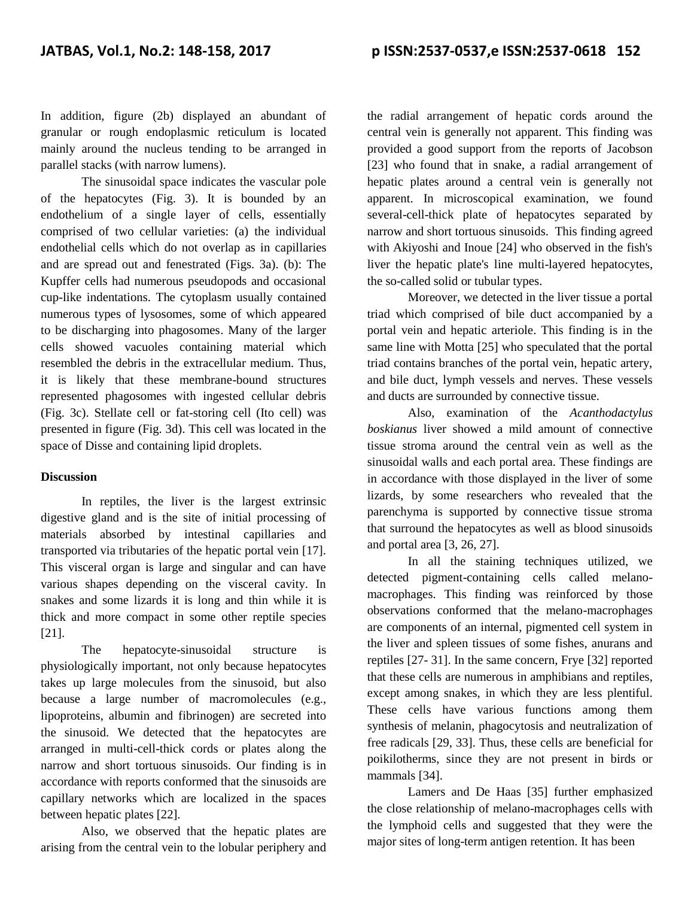In addition, figure (2b) displayed an abundant of granular or rough endoplasmic reticulum is located mainly around the nucleus tending to be arranged in parallel stacks (with narrow lumens).

The sinusoidal space indicates the vascular pole of the hepatocytes (Fig. 3). It is bounded by an endothelium of a single layer of cells, essentially comprised of two cellular varieties: (a) the individual endothelial cells which do not overlap as in capillaries and are spread out and fenestrated (Figs. 3a). (b): The Kupffer cells had numerous pseudopods and occasional cup-like indentations. The cytoplasm usually contained numerous types of lysosomes, some of which appeared to be discharging into phagosomes. Many of the larger cells showed vacuoles containing material which resembled the debris in the extracellular medium. Thus, it is likely that these membrane-bound structures represented phagosomes with ingested cellular debris (Fig. 3c). Stellate cell or fat-storing cell (Ito cell) was presented in figure (Fig. 3d). This cell was located in the space of Disse and containing lipid droplets.

#### **Discussion**

In reptiles, the liver is the largest extrinsic digestive gland and is the site of initial processing of materials absorbed by intestinal capillaries and transported via tributaries of the hepatic portal vein [17]. This visceral organ is large and singular and can have various shapes depending on the visceral cavity. In snakes and some lizards it is long and thin while it is thick and more compact in some other reptile species [21].

The hepatocyte-sinusoidal structure is physiologically important, not only because hepatocytes takes up large molecules from the sinusoid, but also because a large number of macromolecules (e.g., lipoproteins, albumin and fibrinogen) are secreted into the sinusoid. We detected that the hepatocytes are arranged in multi-cell-thick cords or plates along the narrow and short tortuous sinusoids. Our finding is in accordance with reports conformed that the sinusoids are capillary networks which are localized in the spaces between hepatic plates [22].

Also, we observed that the hepatic plates are arising from the central vein to the lobular periphery and the radial arrangement of hepatic cords around the central vein is generally not apparent. This finding was provided a good support from the reports of Jacobson [23] who found that in snake, a radial arrangement of hepatic plates around a central vein is generally not apparent. In microscopical examination, we found several-cell-thick plate of hepatocytes separated by narrow and short tortuous sinusoids. This finding agreed with Akiyoshi and Inoue [24] who observed in the fish's liver the hepatic plate's line multi-layered hepatocytes, the so-called solid or tubular types.

Moreover, we detected in the liver tissue a portal triad which comprised of bile duct accompanied by a portal vein and hepatic arteriole. This finding is in the same line with Motta [25] who speculated that the portal triad contains branches of the portal vein, hepatic artery, and bile duct, lymph vessels and nerves. These vessels and ducts are surrounded by connective tissue.

Also, examination of the *Acanthodactylus boskianus* liver showed a mild amount of connective tissue stroma around the central vein as well as the sinusoidal walls and each portal area. These findings are in accordance with those displayed in the liver of some lizards, by some researchers who revealed that the parenchyma is supported by connective tissue stroma that surround the hepatocytes as well as blood sinusoids and portal area [3, 26, 27].

In all the staining techniques utilized, we detected pigment-containing cells called melanomacrophages. This finding was reinforced by those observations conformed that the melano-macrophages are components of an internal, pigmented cell system in the liver and spleen tissues of some fishes, anurans and reptiles [27- 31]. In the same concern, Frye [32] reported that these cells are numerous in amphibians and reptiles, except among snakes, in which they are less plentiful. These cells have various functions among them synthesis of melanin, phagocytosis and neutralization of free radicals [29, 33]. Thus, these cells are beneficial for poikilotherms, since they are not present in birds or mammals [34].

Lamers and De Haas [35] further emphasized the close relationship of melano-macrophages cells with the lymphoid cells and suggested that they were the major sites of long-term antigen retention. It has been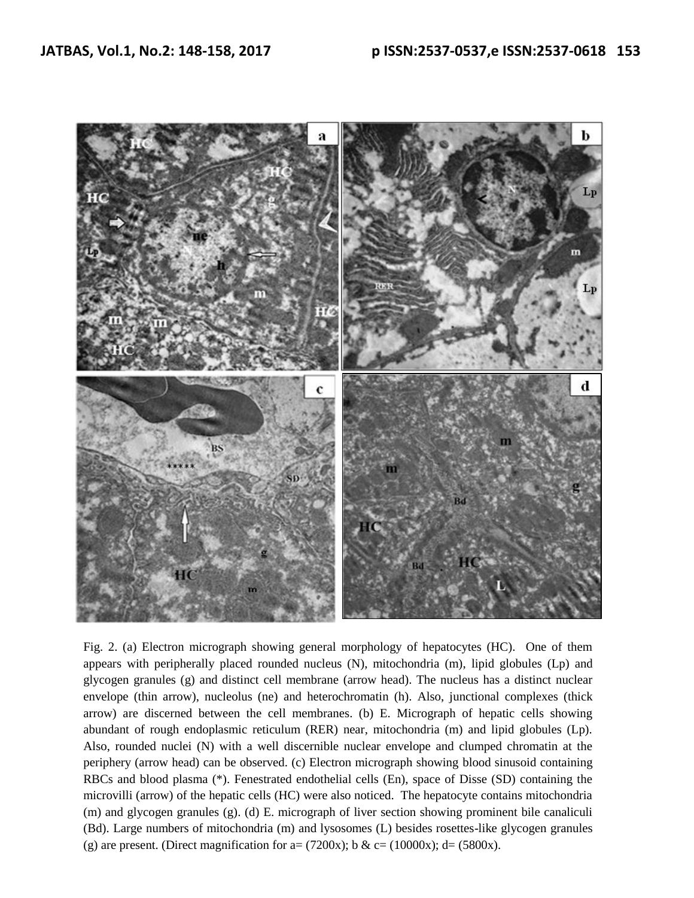

Fig. 2. (a) Electron micrograph showing general morphology of hepatocytes (HC). One of them appears with peripherally placed rounded nucleus (N), mitochondria (m), lipid globules (Lp) and glycogen granules (g) and distinct cell membrane (arrow head). The nucleus has a distinct nuclear envelope (thin arrow), nucleolus (ne) and heterochromatin (h). Also, junctional complexes (thick arrow) are discerned between the cell membranes. (b) E. Micrograph of hepatic cells showing abundant of rough endoplasmic reticulum (RER) near, mitochondria (m) and lipid globules (Lp). Also, rounded nuclei (N) with a well discernible nuclear envelope and clumped chromatin at the periphery (arrow head) can be observed. (c) Electron micrograph showing blood sinusoid containing RBCs and blood plasma (\*). Fenestrated endothelial cells (En), space of Disse (SD) containing the microvilli (arrow) of the hepatic cells (HC) were also noticed. The hepatocyte contains mitochondria (m) and glycogen granules (g). (d) E. micrograph of liver section showing prominent bile canaliculi (Bd). Large numbers of mitochondria (m) and lysosomes (L) besides rosettes-like glycogen granules (g) are present. (Direct magnification for a=  $(7200x)$ ; b & c=  $(10000x)$ ; d=  $(5800x)$ .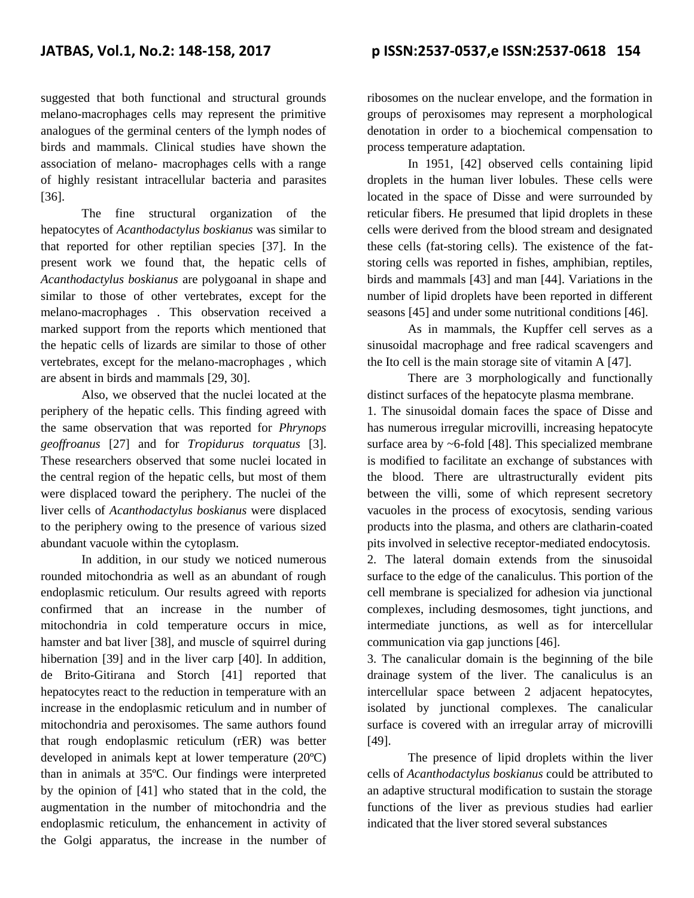suggested that both functional and structural grounds melano-macrophages cells may represent the primitive analogues of the germinal centers of the lymph nodes of birds and mammals. Clinical studies have shown the association of melano- macrophages cells with a range of highly resistant intracellular bacteria and parasites [36].

The fine structural organization of the hepatocytes of *Acanthodactylus boskianus* was similar to that reported for other reptilian species [37]. In the present work we found that, the hepatic cells of *Acanthodactylus boskianus* are polygoanal in shape and similar to those of other vertebrates, except for the melano-macrophages . This observation received a marked support from the reports which mentioned that the hepatic cells of lizards are similar to those of other vertebrates, except for the melano-macrophages , which are absent in birds and mammals [29, 30].

Also, we observed that the nuclei located at the periphery of the hepatic cells. This finding agreed with the same observation that was reported for *Phrynops geoffroanus* [27] and for *Tropidurus torquatus* [3]. These researchers observed that some nuclei located in the central region of the hepatic cells, but most of them were displaced toward the periphery. The nuclei of the liver cells of *Acanthodactylus boskianus* were displaced to the periphery owing to the presence of various sized abundant vacuole within the cytoplasm.

In addition, in our study we noticed numerous rounded mitochondria as well as an abundant of rough endoplasmic reticulum. Our results agreed with reports confirmed that an increase in the number of mitochondria in cold temperature occurs in mice, hamster and bat liver [38], and muscle of squirrel during hibernation [39] and in the liver carp [40]. In addition, de Brito-Gitirana and Storch [41] reported that hepatocytes react to the reduction in temperature with an increase in the endoplasmic reticulum and in number of mitochondria and peroxisomes. The same authors found that rough endoplasmic reticulum (rER) was better developed in animals kept at lower temperature (20ºC) than in animals at 35ºC. Our findings were interpreted by the opinion of [41] who stated that in the cold, the augmentation in the number of mitochondria and the endoplasmic reticulum, the enhancement in activity of the Golgi apparatus, the increase in the number of

ribosomes on the nuclear envelope, and the formation in groups of peroxisomes may represent a morphological denotation in order to a biochemical compensation to process temperature adaptation.

In 1951, [42] observed cells containing lipid droplets in the human liver lobules. These cells were located in the space of Disse and were surrounded by reticular fibers. He presumed that lipid droplets in these cells were derived from the blood stream and designated these cells (fat-storing cells). The existence of the fatstoring cells was reported in fishes, amphibian, reptiles, birds and mammals [43] and man [44]. Variations in the number of lipid droplets have been reported in different seasons [45] and under some nutritional conditions [46].

As in mammals, the Kupffer cell serves as a sinusoidal macrophage and free radical scavengers and the Ito cell is the main storage site of vitamin A [47].

There are 3 morphologically and functionally distinct surfaces of the hepatocyte plasma membrane.

1. The sinusoidal domain faces the space of Disse and has numerous irregular microvilli, increasing hepatocyte surface area by ~6-fold [48]. This specialized membrane is modified to facilitate an exchange of substances with the blood. There are ultrastructurally evident pits between the villi, some of which represent secretory vacuoles in the process of exocytosis, sending various products into the plasma, and others are clatharin-coated pits involved in selective receptor-mediated endocytosis.

2. The lateral domain extends from the sinusoidal surface to the edge of the canaliculus. This portion of the cell membrane is specialized for adhesion via junctional complexes, including desmosomes, tight junctions, and intermediate junctions, as well as for intercellular communication via gap junctions [46].

3. The canalicular domain is the beginning of the bile drainage system of the liver. The canaliculus is an intercellular space between 2 adjacent hepatocytes, isolated by junctional complexes. The canalicular surface is covered with an irregular array of microvilli [49].

The presence of lipid droplets within the liver cells of *Acanthodactylus boskianus* could be attributed to an adaptive structural modification to sustain the storage functions of the liver as previous studies had earlier indicated that the liver stored several substances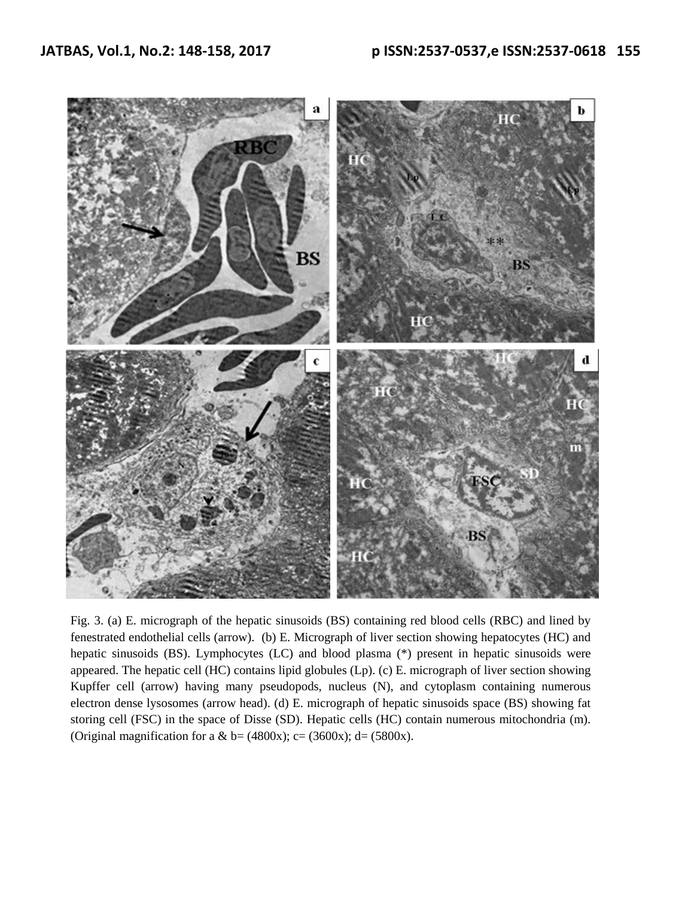

Fig. 3. (a) E. micrograph of the hepatic sinusoids (BS) containing red blood cells (RBC) and lined by fenestrated endothelial cells (arrow). (b) E. Micrograph of liver section showing hepatocytes (HC) and hepatic sinusoids (BS). Lymphocytes (LC) and blood plasma (\*) present in hepatic sinusoids were appeared. The hepatic cell (HC) contains lipid globules (Lp). (c) E. micrograph of liver section showing Kupffer cell (arrow) having many pseudopods, nucleus (N), and cytoplasm containing numerous electron dense lysosomes (arrow head). (d) E. micrograph of hepatic sinusoids space (BS) showing fat storing cell (FSC) in the space of Disse (SD). Hepatic cells (HC) contain numerous mitochondria (m). (Original magnification for a & b=  $(4800x)$ ; c=  $(3600x)$ ; d=  $(5800x)$ .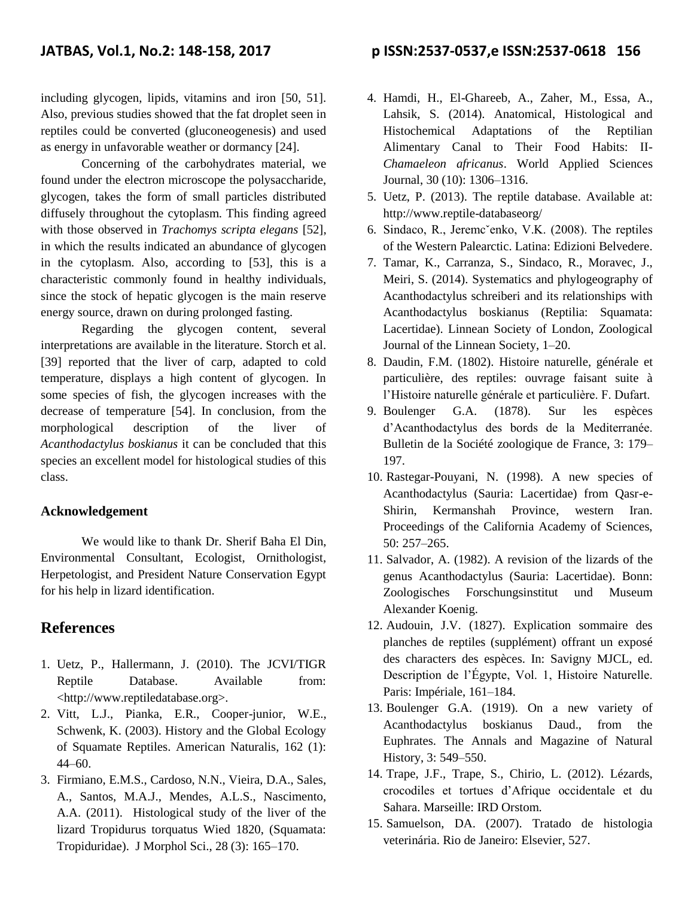including glycogen, lipids, vitamins and iron [50, 51]. Also, previous studies showed that the fat droplet seen in reptiles could be converted (gluconeogenesis) and used as energy in unfavorable weather or dormancy [24].

Concerning of the carbohydrates material, we found under the electron microscope the polysaccharide, glycogen, takes the form of small particles distributed diffusely throughout the cytoplasm. This finding agreed with those observed in *Trachomys scripta elegans* [52], in which the results indicated an abundance of glycogen in the cytoplasm. Also, according to [53], this is a characteristic commonly found in healthy individuals, since the stock of hepatic glycogen is the main reserve energy source, drawn on during prolonged fasting.

Regarding the glycogen content, several interpretations are available in the literature. Storch et al. [39] reported that the liver of carp, adapted to cold temperature, displays a high content of glycogen. In some species of fish, the glycogen increases with the decrease of temperature [54]. In conclusion, from the morphological description of the liver of *Acanthodactylus boskianus* it can be concluded that this species an excellent model for histological studies of this class.

#### **Acknowledgement**

We would like to thank Dr. Sherif Baha El Din, Environmental Consultant, Ecologist, Ornithologist, Herpetologist, and President Nature Conservation Egypt for his help in lizard identification.

#### **References**

- 1. Uetz, P., Hallermann, J. (2010). The JCVI/TIGR Reptile Database. Available from: <http://www.reptiledatabase.org>.
- 2. Vitt, L.J., Pianka, E.R., Cooper-junior, W.E., Schwenk, K. (2003). History and the Global Ecology of Squamate Reptiles. American Naturalis, 162 (1): 44–60.
- 3. Firmiano, E.M.S., Cardoso, N.N., Vieira, D.A., Sales, A., Santos, M.A.J., Mendes, A.L.S., Nascimento, A.A. (2011). Histological study of the liver of the lizard Tropidurus torquatus Wied 1820, (Squamata: Tropiduridae). J Morphol Sci., 28 (3): 165–170.

### **JATBAS, Vol.1, No.2: 148-158, 2017 p ISSN:2537-0537,e ISSN:2537-0618 156**

- 4. Hamdi, H., El-Ghareeb, A., Zaher, M., Essa, A., Lahsik, S. (2014). Anatomical, Histological and Histochemical Adaptations of the Reptilian Alimentary Canal to Their Food Habits: II-*Chamaeleon africanus*. World Applied Sciences Journal, 30 (10): 1306–1316.
- 5. Uetz, P. (2013). The reptile database. Available at: http://www.reptile-databaseorg/
- 6. Sindaco, R., Jeremcˇenko, V.K. (2008). The reptiles of the Western Palearctic. Latina: Edizioni Belvedere.
- 7. Tamar, K., Carranza, S., Sindaco, R., Moravec, J., Meiri, S. (2014). Systematics and phylogeography of Acanthodactylus schreiberi and its relationships with Acanthodactylus boskianus (Reptilia: Squamata: Lacertidae). Linnean Society of London, Zoological Journal of the Linnean Society, 1–20.
- 8. Daudin, F.M. (1802). Histoire naturelle, générale et particulière, des reptiles: ouvrage faisant suite à l'Histoire naturelle générale et particulière. F. Dufart.
- 9. Boulenger G.A. (1878). Sur les espèces d'Acanthodactylus des bords de la Mediterranée. Bulletin de la Société zoologique de France, 3: 179– 197.
- 10. Rastegar-Pouyani, N. (1998). A new species of Acanthodactylus (Sauria: Lacertidae) from Qasr-e-Shirin, Kermanshah Province, western Iran. Proceedings of the California Academy of Sciences, 50: 257–265.
- 11. Salvador, A. (1982). A revision of the lizards of the genus Acanthodactylus (Sauria: Lacertidae). Bonn: Zoologisches Forschungsinstitut und Museum Alexander Koenig.
- 12. Audouin, J.V. (1827). Explication sommaire des planches de reptiles (supplément) offrant un exposé des characters des espèces. In: Savigny MJCL, ed. Description de l'Égypte, Vol. 1, Histoire Naturelle. Paris: Impériale, 161–184.
- 13. Boulenger G.A. (1919). On a new variety of Acanthodactylus boskianus Daud., from the Euphrates. The Annals and Magazine of Natural History, 3: 549–550.
- 14. Trape, J.F., Trape, S., Chirio, L. (2012). Lézards, crocodiles et tortues d'Afrique occidentale et du Sahara. Marseille: IRD Orstom.
- 15. Samuelson, DA. (2007). Tratado de histologia veterinária. Rio de Janeiro: Elsevier, 527.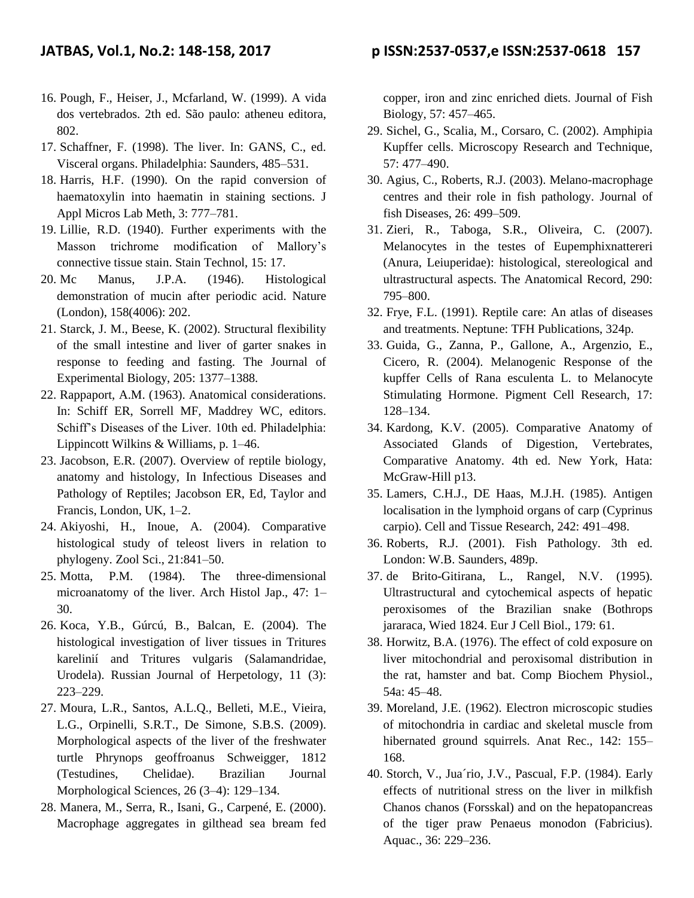- 16. Pough, F., Heiser, J., Mcfarland, W. (1999). A vida dos vertebrados. 2th ed. São paulo: atheneu editora, 802.
- 17. Schaffner, F. (1998). The liver. In: GANS, C., ed. Visceral organs. Philadelphia: Saunders, 485–531.
- 18. Harris, H.F. (1990). On the rapid conversion of haematoxylin into haematin in staining sections. J Appl Micros Lab Meth, 3: 777–781.
- 19. Lillie, R.D. (1940). Further experiments with the Masson trichrome modification of Mallory's connective tissue stain. Stain Technol, 15: 17.
- 20. Mc Manus, J.P.A. (1946). Histological demonstration of mucin after periodic acid. Nature (London), 158(4006): 202.
- 21. Starck, J. M., Beese, K. (2002). Structural flexibility of the small intestine and liver of garter snakes in response to feeding and fasting. The Journal of Experimental Biology, 205: 1377–1388.
- 22. Rappaport, A.M. (1963). Anatomical considerations. In: Schiff ER, Sorrell MF, Maddrey WC, editors. Schiff's Diseases of the Liver. 10th ed. Philadelphia: Lippincott Wilkins & Williams, p. 1–46.
- 23. Jacobson, E.R. (2007). Overview of reptile biology, anatomy and histology, In Infectious Diseases and Pathology of Reptiles; Jacobson ER, Ed, Taylor and Francis, London, UK, 1–2.
- 24. Akiyoshi, H., Inoue, A. (2004). Comparative histological study of teleost livers in relation to phylogeny. Zool Sci., 21:841–50.
- 25. Motta, P.M. (1984). The three-dimensional microanatomy of the liver. Arch Histol Jap., 47: 1– 30.
- 26. Koca, Y.B., Gúrcú, B., Balcan, E. (2004). The histological investigation of liver tissues in Tritures karelinií and Tritures vulgaris (Salamandridae, Urodela). Russian Journal of Herpetology, 11 (3): 223–229.
- 27. Moura, L.R., Santos, A.L.Q., Belleti, M.E., Vieira, L.G., Orpinelli, S.R.T., De Simone, S.B.S. (2009). Morphological aspects of the liver of the freshwater turtle Phrynops geoffroanus Schweigger, 1812 (Testudines, Chelidae). Brazilian Journal Morphological Sciences, 26 (3–4): 129–134.
- 28. Manera, M., Serra, R., Isani, G., Carpené, E. (2000). Macrophage aggregates in gilthead sea bream fed

copper, iron and zinc enriched diets. Journal of Fish Biology, 57: 457–465.

- 29. Sichel, G., Scalia, M., Corsaro, C. (2002). Amphipia Kupffer cells. Microscopy Research and Technique, 57: 477–490.
- 30. Agius, C., Roberts, R.J. (2003). Melano-macrophage centres and their role in fish pathology. Journal of fish Diseases, 26: 499–509.
- 31. Zieri, R., Taboga, S.R., Oliveira, C. (2007). Melanocytes in the testes of Eupemphixnattereri (Anura, Leiuperidae): histological, stereological and ultrastructural aspects. The Anatomical Record, 290: 795–800.
- 32. Frye, F.L. (1991). Reptile care: An atlas of diseases and treatments. Neptune: TFH Publications, 324p.
- 33. Guida, G., Zanna, P., Gallone, A., Argenzio, E., Cicero, R. (2004). Melanogenic Response of the kupffer Cells of Rana esculenta L. to Melanocyte Stimulating Hormone. Pigment Cell Research, 17: 128–134.
- 34. Kardong, K.V. (2005). Comparative Anatomy of Associated Glands of Digestion, Vertebrates, Comparative Anatomy. 4th ed. New York, Hata: McGraw-Hill p13.
- 35. Lamers, C.H.J., DE Haas, M.J.H. (1985). Antigen localisation in the lymphoid organs of carp (Cyprinus carpio). Cell and Tissue Research, 242: 491–498.
- 36. Roberts, R.J. (2001). Fish Pathology. 3th ed. London: W.B. Saunders, 489p.
- 37. de Brito-Gitirana, L., Rangel, N.V. (1995). Ultrastructural and cytochemical aspects of hepatic peroxisomes of the Brazilian snake (Bothrops jararaca, Wied 1824. Eur J Cell Biol., 179: 61.
- 38. Horwitz, B.A. (1976). The effect of cold exposure on liver mitochondrial and peroxisomal distribution in the rat, hamster and bat. Comp Biochem Physiol., 54a: 45–48.
- 39. Moreland, J.E. (1962). Electron microscopic studies of mitochondria in cardiac and skeletal muscle from hibernated ground squirrels. Anat Rec., 142: 155– 168.
- 40. Storch, V., Jua´rio, J.V., Pascual, F.P. (1984). Early effects of nutritional stress on the liver in milkfish Chanos chanos (Forsskal) and on the hepatopancreas of the tiger praw Penaeus monodon (Fabricius). Aquac., 36: 229–236.